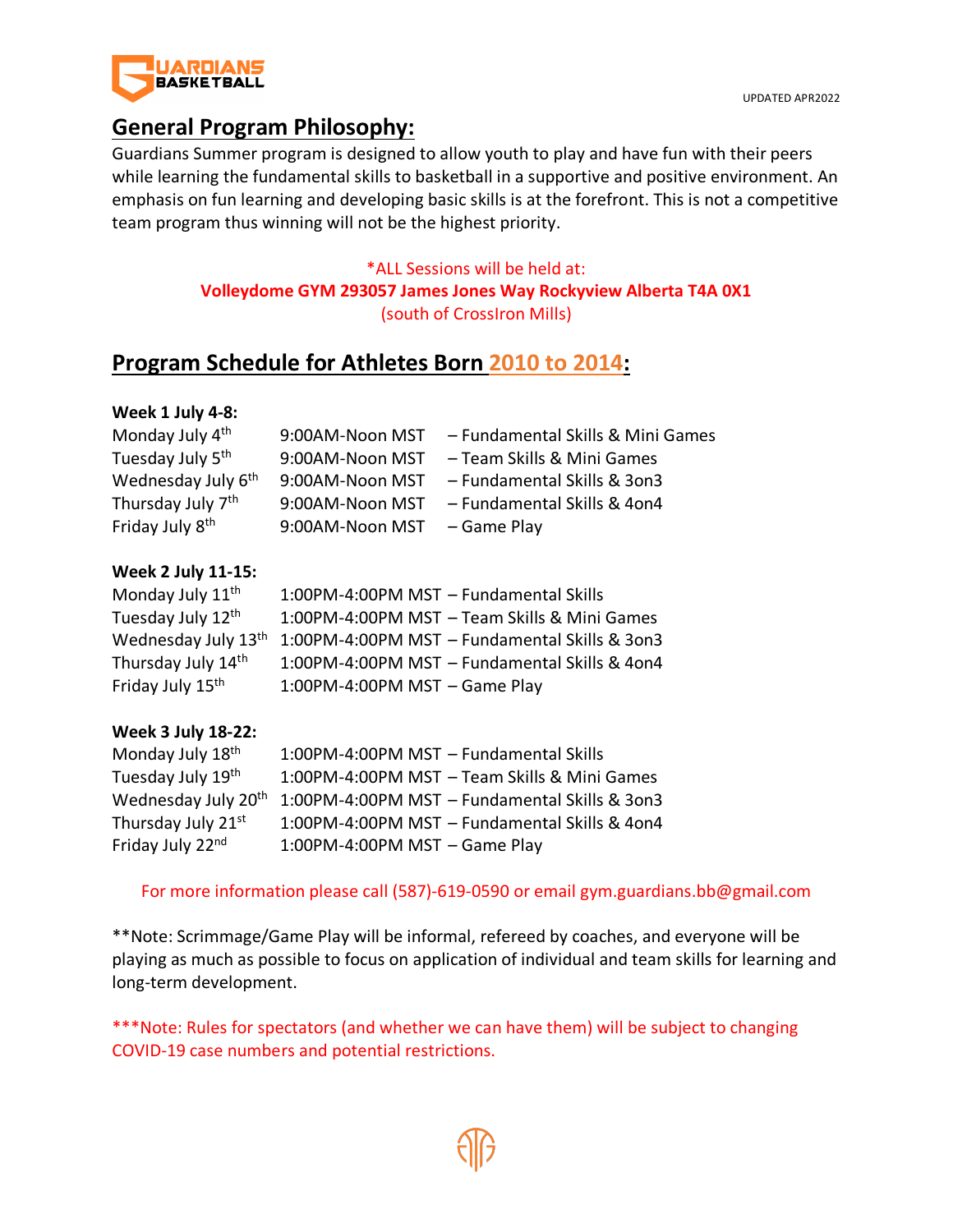

# **General Program Philosophy:**

Guardians Summer program is designed to allow youth to play and have fun with their peers while learning the fundamental skills to basketball in a supportive and positive environment. An emphasis on fun learning and developing basic skills is at the forefront. This is not a competitive team program thus winning will not be the highest priority.

## \*ALL Sessions will be held at: **Volleydome GYM 293057 James Jones Way Rockyview Alberta T4A 0X1** (south of CrossIron Mills)

## **Program Schedule for Athletes Born 2010 to 2014:**

### **Week 1 July 4-8:**

| Monday July 4th                | 9:00AM-Noon MST | - Fundamental Skills & Mini Games |
|--------------------------------|-----------------|-----------------------------------|
| Tuesday July 5 <sup>th</sup>   | 9:00AM-Noon MST | - Team Skills & Mini Games        |
| Wednesday July 6 <sup>th</sup> | 9:00AM-Noon MST | - Fundamental Skills & 3on3       |
| Thursday July 7 <sup>th</sup>  | 9:00AM-Noon MST | - Fundamental Skills & 4on4       |
| Friday July 8 <sup>th</sup>    | 9:00AM-Noon MST | - Game Play                       |
|                                |                 |                                   |

#### **Week 2 July 11-15:**

| Monday July 11 <sup>th</sup>    | 1:00PM-4:00PM MST - Fundamental Skills        |
|---------------------------------|-----------------------------------------------|
| Tuesday July 12th               | 1:00PM-4:00PM MST - Team Skills & Mini Games  |
| Wednesday July 13 <sup>th</sup> | 1:00PM-4:00PM MST - Fundamental Skills & 3on3 |
| Thursday July 14th              | 1:00PM-4:00PM MST - Fundamental Skills & 4on4 |
| Friday July 15 <sup>th</sup>    | 1:00PM-4:00PM MST - Game Play                 |

### **Week 3 July 18-22:**

| Monday July 18 <sup>th</sup>    | 1:00PM-4:00PM MST - Fundamental Skills        |
|---------------------------------|-----------------------------------------------|
| Tuesday July 19th               | 1:00PM-4:00PM MST - Team Skills & Mini Games  |
| Wednesday July 20 <sup>th</sup> | 1:00PM-4:00PM MST - Fundamental Skills & 3on3 |
| Thursday July 21st              | 1:00PM-4:00PM MST - Fundamental Skills & 4on4 |
| Friday July 22nd                | 1:00PM-4:00PM MST $-$ Game Play               |

### For more information please call (587)-619-0590 or email gym.guardians.bb@gmail.com

\*\*Note: Scrimmage/Game Play will be informal, refereed by coaches, and everyone will be playing as much as possible to focus on application of individual and team skills for learning and long-term development.

\*\*\*Note: Rules for spectators (and whether we can have them) will be subject to changing COVID-19 case numbers and potential restrictions.